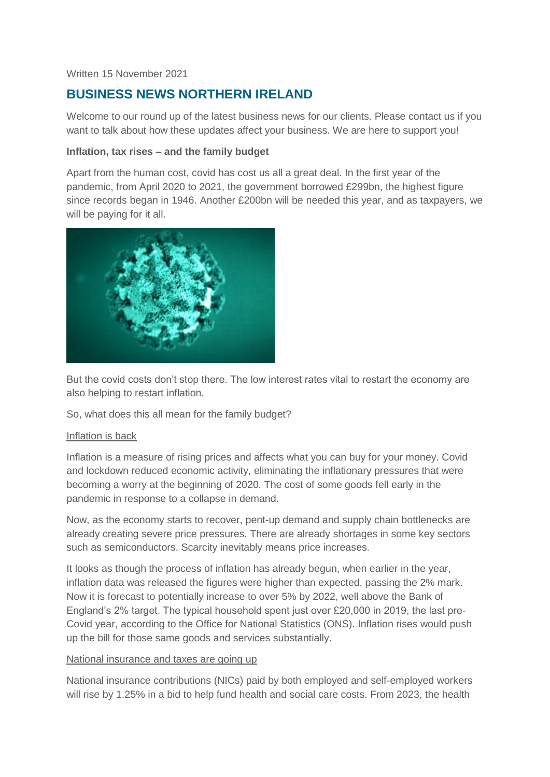#### Written 15 November 2021

# **BUSINESS NEWS NORTHERN IRELAND**

Welcome to our round up of the latest business news for our clients. Please contact us if you want to talk about how these updates affect your business. We are here to support you!

#### **Inflation, tax rises – and the family budget**

Apart from the human cost, covid has cost us all a great deal. In the first year of the pandemic, from April 2020 to 2021, the government borrowed £299bn, the highest figure since records began in 1946. Another £200bn will be needed this year, and as taxpayers, we will be paying for it all.



But the covid costs don't stop there. The low interest rates vital to restart the economy are also helping to restart inflation.

So, what does this all mean for the family budget?

#### Inflation is back

Inflation is a measure of rising prices and affects what you can buy for your money. Covid and lockdown reduced economic activity, eliminating the inflationary pressures that were becoming a worry at the beginning of 2020. The cost of some goods fell early in the pandemic in response to a collapse in demand.

Now, as the economy starts to recover, pent-up demand and supply chain bottlenecks are already creating severe price pressures. There are already shortages in some key sectors such as semiconductors. Scarcity inevitably means price increases.

It looks as though the process of inflation has already begun, when earlier in the year, inflation data was released the figures were higher than expected, passing the 2% mark. Now it is forecast to potentially increase to over 5% by 2022, well above the Bank of England's 2% target. The typical household spent just over £20,000 in 2019, the last pre-Covid year, according to the Office for National Statistics (ONS). Inflation rises would push up the bill for those same goods and services substantially.

#### National insurance and taxes are going up

National insurance contributions (NICs) paid by both employed and self-employed workers will rise by 1.25% in a bid to help fund health and social care costs. From 2023, the health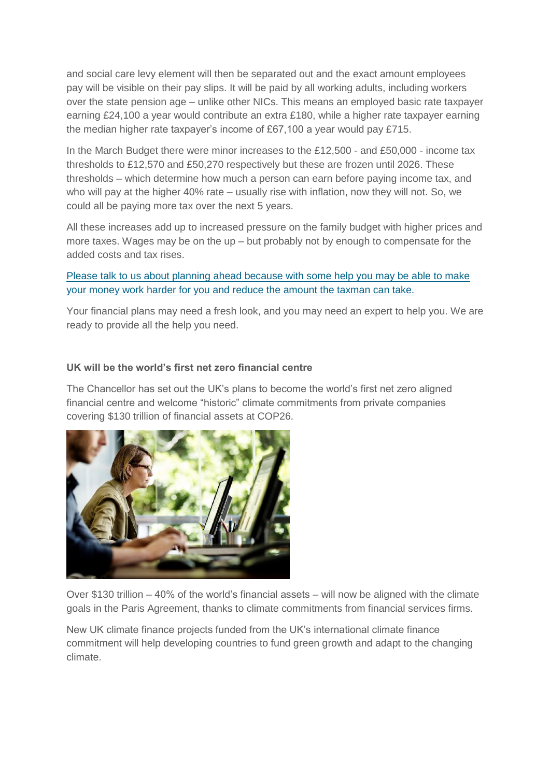and social care levy element will then be separated out and the exact amount employees pay will be visible on their pay slips. It will be paid by all working adults, including workers over the state pension age – unlike other NICs. This means an employed basic rate taxpayer earning £24,100 a year would contribute an extra £180, while a higher rate taxpayer earning the median higher rate taxpayer's income of £67,100 a year would pay £715.

In the March Budget there were minor increases to the £12,500 - and £50,000 - income tax thresholds to £12,570 and £50,270 respectively but these are frozen until 2026. These thresholds – which determine how much a person can earn before paying income tax, and who will pay at the higher 40% rate – usually rise with inflation, now they will not. So, we could all be paying more tax over the next 5 years.

All these increases add up to increased pressure on the family budget with higher prices and more taxes. Wages may be on the up – but probably not by enough to compensate for the added costs and tax rises.

## Please talk to us about planning ahead because with some help you may be able to make your money work harder for you and reduce the amount the taxman can take.

Your financial plans may need a fresh look, and you may need an expert to help you. We are ready to provide all the help you need.

# **UK will be the world's first net zero financial centre**

The Chancellor has set out the UK's plans to become the world's first net zero aligned financial centre and welcome "historic" climate commitments from private companies covering \$130 trillion of financial assets at COP26.



Over \$130 trillion – 40% of the world's financial assets – will now be aligned with the climate goals in the Paris Agreement, thanks to climate commitments from financial services firms.

New UK climate finance projects funded from the UK's international climate finance commitment will help developing countries to fund green growth and adapt to the changing climate.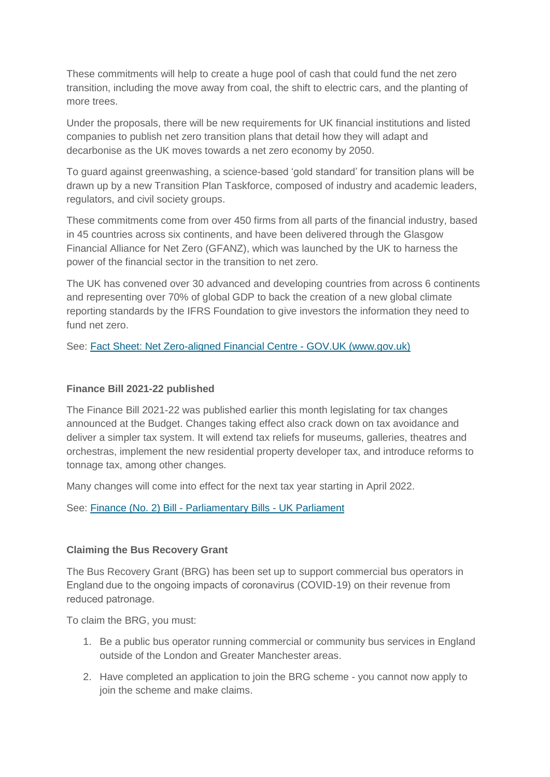These commitments will help to create a huge pool of cash that could fund the net zero transition, including the move away from coal, the shift to electric cars, and the planting of more trees.

Under the proposals, there will be new requirements for UK financial institutions and listed companies to publish net zero transition plans that detail how they will adapt and decarbonise as the UK moves towards a net zero economy by 2050.

To guard against greenwashing, a science-based 'gold standard' for transition plans will be drawn up by a new Transition Plan Taskforce, composed of industry and academic leaders, regulators, and civil society groups.

These commitments come from over 450 firms from all parts of the financial industry, based in 45 countries across six continents, and have been delivered through the Glasgow Financial Alliance for Net Zero (GFANZ), which was launched by the UK to harness the power of the financial sector in the transition to net zero.

The UK has convened over 30 advanced and developing countries from across 6 continents and representing over 70% of global GDP to back the creation of a new global climate reporting standards by the IFRS Foundation to give investors the information they need to fund net zero.

See: [Fact Sheet: Net Zero-aligned Financial Centre -](https://www.gov.uk/government/publications/fact-sheet-net-zero-aligned-financial-centre) GOV.UK (www.gov.uk)

## **Finance Bill 2021-22 published**

The Finance Bill 2021-22 was published earlier this month legislating for tax changes announced at the Budget. Changes taking effect also crack down on tax avoidance and deliver a simpler tax system. It will extend tax reliefs for museums, galleries, theatres and orchestras, implement the new residential property developer tax, and introduce reforms to tonnage tax, among other changes.

Many changes will come into effect for the next tax year starting in April 2022.

See: [Finance \(No. 2\) Bill -](https://bills.parliament.uk/bills/3060) Parliamentary Bills - UK Parliament

#### **Claiming the Bus Recovery Grant**

The Bus Recovery Grant (BRG) has been set up to support commercial bus operators in England due to the ongoing impacts of coronavirus (COVID-19) on their revenue from reduced patronage.  

To claim the BRG, you must:

- 1. Be a public bus operator running commercial or community bus services in England outside of the London and Greater Manchester areas.
- 2. Have completed an application to join the BRG scheme you cannot now apply to join the scheme and make claims.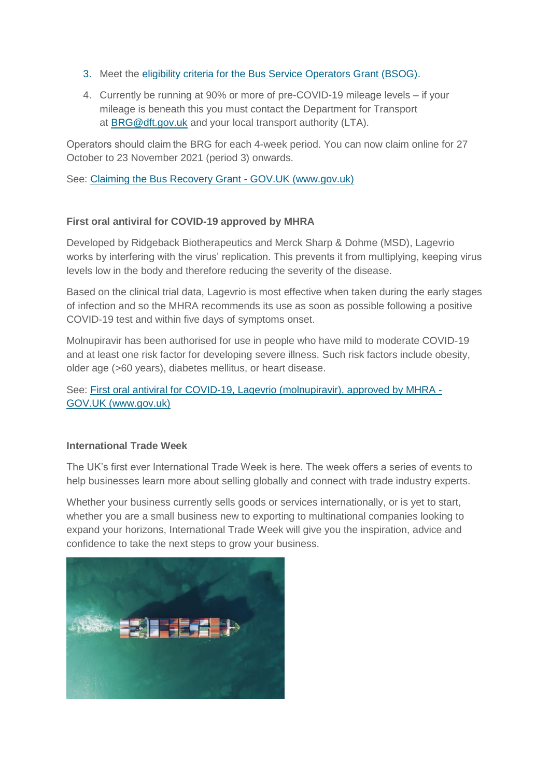- 3. Meet the [eligibility criteria for the Bus Service Operators Grant \(BSOG\).](https://www.gov.uk/government/collections/bus-services-grants-and-funding)
- 4. Currently be running at 90% or more of pre-COVID-19 mileage levels if your mileage is beneath this you must contact the Department for Transport at [BRG@dft.gov.uk](mailto:BRG@dft.gov.uk) and your local transport authority (LTA).

Operators should claim the BRG for each 4-week period. You can now claim online for 27 October to 23 November 2021 (period 3) onwards.

See: [Claiming the Bus Recovery Grant -](https://www.gov.uk/guidance/claiming-the-bus-recovery-grant?utm_medium=email&utm_campaign=govuk-notifications&utm_source=b6e0ae3c-4586-4820-a56d-468d83b86c79&utm_content=daily) GOV.UK (www.gov.uk)

## **First oral antiviral for COVID-19 approved by MHRA**

Developed by Ridgeback Biotherapeutics and Merck Sharp & Dohme (MSD), Lagevrio works by interfering with the virus' replication. This prevents it from multiplying, keeping virus levels low in the body and therefore reducing the severity of the disease.

Based on the clinical trial data, Lagevrio is most effective when taken during the early stages of infection and so the MHRA recommends its use as soon as possible following a positive COVID-19 test and within five days of symptoms onset.

Molnupiravir has been authorised for use in people who have mild to moderate COVID-19 and at least one risk factor for developing severe illness. Such risk factors include obesity, older age (>60 years), diabetes mellitus, or heart disease.

See: [First oral antiviral for COVID-19, Lagevrio \(molnupiravir\), approved by MHRA -](https://www.gov.uk/government/news/first-oral-antiviral-for-covid-19-lagevrio-molnupiravir-approved-by-mhra?utm_medium=email&utm_campaign=govuk-notifications&utm_source=2f374817-e61f-4af3-9137-4382c3927e61&utm_content=daily) [GOV.UK \(www.gov.uk\)](https://www.gov.uk/government/news/first-oral-antiviral-for-covid-19-lagevrio-molnupiravir-approved-by-mhra?utm_medium=email&utm_campaign=govuk-notifications&utm_source=2f374817-e61f-4af3-9137-4382c3927e61&utm_content=daily)

#### **International Trade Week**

The UK's first ever International Trade Week is here. The week offers a series of events to help businesses learn more about selling globally and connect with trade industry experts.

Whether your business currently sells goods or services internationally, or is yet to start, whether you are a small business new to exporting to multinational companies looking to expand your horizons, International Trade Week will give you the inspiration, advice and confidence to take the next steps to grow your business.

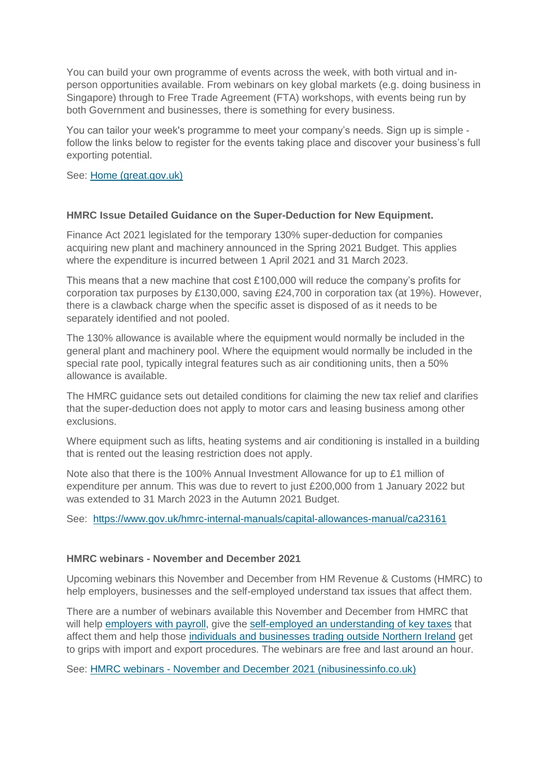You can build your own programme of events across the week, with both virtual and inperson opportunities available. From webinars on key global markets (e.g. doing business in Singapore) through to Free Trade Agreement (FTA) workshops, with events being run by both Government and businesses, there is something for every business.

You can tailor your week's programme to meet your company's needs. Sign up is simple follow the links below to register for the events taking place and discover your business's full exporting potential.

See: [Home \(great.gov.uk\)](https://www.events.great.gov.uk/website/5827/)

#### **HMRC Issue Detailed Guidance on the Super-Deduction for New Equipment.**

Finance Act 2021 legislated for the temporary 130% super-deduction for companies acquiring new plant and machinery announced in the Spring 2021 Budget. This applies where the expenditure is incurred between 1 April 2021 and 31 March 2023.

This means that a new machine that cost £100,000 will reduce the company's profits for corporation tax purposes by £130,000, saving £24,700 in corporation tax (at 19%). However, there is a clawback charge when the specific asset is disposed of as it needs to be separately identified and not pooled.

The 130% allowance is available where the equipment would normally be included in the general plant and machinery pool. Where the equipment would normally be included in the special rate pool, typically integral features such as air conditioning units, then a 50% allowance is available.

The HMRC guidance sets out detailed conditions for claiming the new tax relief and clarifies that the super-deduction does not apply to motor cars and leasing business among other exclusions.

Where equipment such as lifts, heating systems and air conditioning is installed in a building that is rented out the leasing restriction does not apply.

Note also that there is the 100% Annual Investment Allowance for up to £1 million of expenditure per annum. This was due to revert to just £200,000 from 1 January 2022 but was extended to 31 March 2023 in the Autumn 2021 Budget.

See: <https://www.gov.uk/hmrc-internal-manuals/capital-allowances-manual/ca23161>

#### **HMRC webinars - November and December 2021**

Upcoming webinars this November and December from HM Revenue & Customs (HMRC) to help employers, businesses and the self-employed understand tax issues that affect them.

There are a number of webinars available this November and December from HMRC that will help [employers with payroll,](https://www.nibusinessinfo.co.uk/content/hmrc-webinars-november-and-december-2021#employers) give the [self-employed an understanding of key taxes](https://www.nibusinessinfo.co.uk/content/hmrc-webinars-november-and-december-2021#self-employed) that affect them and help those [individuals and businesses trading outside Northern Ireland](https://www.nibusinessinfo.co.uk/content/hmrc-webinars-november-and-december-2021#trade) get to grips with import and export procedures. The webinars are free and last around an hour.

See: HMRC webinars - [November and December 2021 \(nibusinessinfo.co.uk\)](https://www.nibusinessinfo.co.uk/content/hmrc-webinars-november-and-december-2021)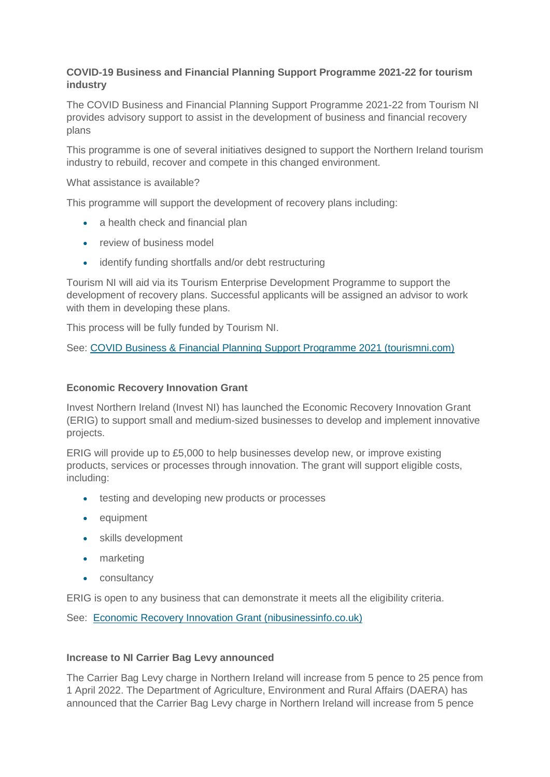# **COVID-19 Business and Financial Planning Support Programme 2021-22 for tourism industry**

The COVID Business and Financial Planning Support Programme 2021-22 from Tourism NI provides advisory support to assist in the development of business and financial recovery plans

This programme is one of several initiatives designed to support the Northern Ireland tourism industry to rebuild, recover and compete in this changed environment.

What assistance is available?

This programme will support the development of recovery plans including:

- a health check and financial plan
- review of business model
- identify funding shortfalls and/or debt restructuring

Tourism NI will aid via its Tourism Enterprise Development Programme to support the development of recovery plans. Successful applicants will be assigned an advisor to work with them in developing these plans.

This process will be fully funded by Tourism NI.

See: [COVID Business & Financial Planning Support Programme 2021 \(tourismni.com\)](https://www.tourismni.com/build-your-business/opportunities-campaigns/covid-business-and-financial-planning-support-programme-2021-2022/)

#### **Economic Recovery Innovation Grant**

Invest Northern Ireland (Invest NI) has launched the Economic Recovery Innovation Grant (ERIG) to support small and medium-sized businesses to develop and implement innovative projects.

ERIG will provide up to £5,000 to help businesses develop new, or improve existing products, services or processes through innovation. The grant will support eligible costs, including:

- **•** testing and developing new products or processes
- equipment
- skills development
- marketing
- consultancy

ERIG is open to any business that can demonstrate it meets all the eligibility criteria.

See: [Economic Recovery Innovation Grant \(nibusinessinfo.co.uk\)](https://www.nibusinessinfo.co.uk/content/economic-recovery-innovation-grant)

#### **Increase to NI Carrier Bag Levy announced**

The Carrier Bag Levy charge in Northern Ireland will increase from 5 pence to 25 pence from 1 April 2022. The Department of Agriculture, Environment and Rural Affairs (DAERA) has announced that the Carrier Bag Levy charge in Northern Ireland will increase from 5 pence